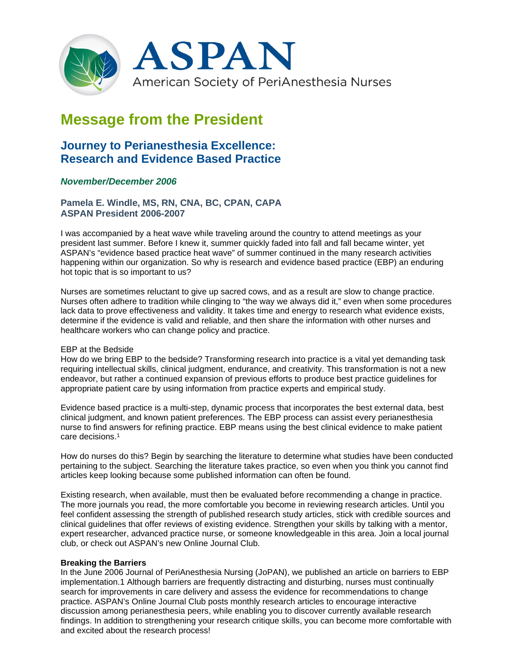

# **Message from the President**

## **Journey to Perianesthesia Excellence: Research and Evidence Based Practice**

### *November/December 2006*

**Pamela E. Windle, MS, RN, CNA, BC, CPAN, CAPA ASPAN President 2006-2007**

I was accompanied by a heat wave while traveling around the country to attend meetings as your president last summer. Before I knew it, summer quickly faded into fall and fall became winter, yet ASPAN's "evidence based practice heat wave" of summer continued in the many research activities happening within our organization. So why is research and evidence based practice (EBP) an enduring hot topic that is so important to us?

Nurses are sometimes reluctant to give up sacred cows, and as a result are slow to change practice. Nurses often adhere to tradition while clinging to "the way we always did it," even when some procedures lack data to prove effectiveness and validity. It takes time and energy to research what evidence exists, determine if the evidence is valid and reliable, and then share the information with other nurses and healthcare workers who can change policy and practice.

#### EBP at the Bedside

How do we bring EBP to the bedside? Transforming research into practice is a vital yet demanding task requiring intellectual skills, clinical judgment, endurance, and creativity. This transformation is not a new endeavor, but rather a continued expansion of previous efforts to produce best practice guidelines for appropriate patient care by using information from practice experts and empirical study.

Evidence based practice is a multi-step, dynamic process that incorporates the best external data, best clinical judgment, and known patient preferences. The EBP process can assist every perianesthesia nurse to find answers for refining practice. EBP means using the best clinical evidence to make patient care decisions.1

How do nurses do this? Begin by searching the literature to determine what studies have been conducted pertaining to the subject. Searching the literature takes practice, so even when you think you cannot find articles keep looking because some published information can often be found.

Existing research, when available, must then be evaluated before recommending a change in practice. The more journals you read, the more comfortable you become in reviewing research articles. Until you feel confident assessing the strength of published research study articles, stick with credible sources and clinical guidelines that offer reviews of existing evidence. Strengthen your skills by talking with a mentor, expert researcher, advanced practice nurse, or someone knowledgeable in this area. Join a local journal club, or check out ASPAN's new Online Journal Club.

#### **Breaking the Barriers**

In the June 2006 Journal of PeriAnesthesia Nursing (JoPAN), we published an article on barriers to EBP implementation.1 Although barriers are frequently distracting and disturbing, nurses must continually search for improvements in care delivery and assess the evidence for recommendations to change practice. ASPAN's Online Journal Club posts monthly research articles to encourage interactive discussion among perianesthesia peers, while enabling you to discover currently available research findings. In addition to strengthening your research critique skills, you can become more comfortable with and excited about the research process!